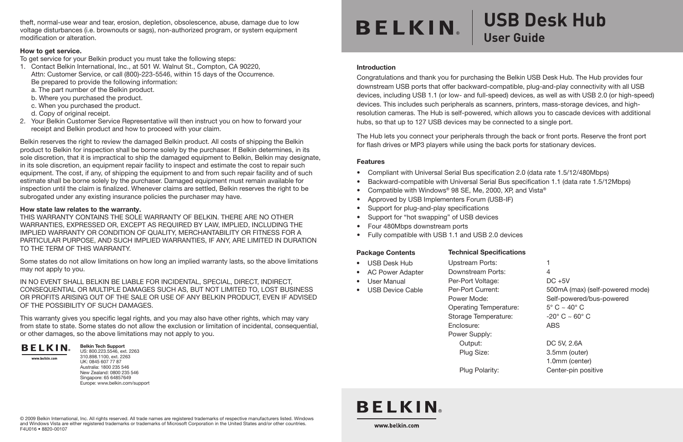theft, normal-use wear and tear, erosion, depletion, obsolescence, abuse, damage due to low voltage disturbances (i.e. brownouts or sags), non-authorized program, or system equipment modification or alteration.

#### How to get service.

To get service for your Belkin product you must take the following steps:

- 1. Contact Belkin International, Inc., at 501 W. Walnut St., Compton, CA 90220, Attn: Customer Service, or call (800)-223-5546, within 15 days of the Occurrence. Be prepared to provide the following information: a. The part number of the Belkin product.
	-
	- b. Where you purchased the product.
	- c. When you purchased the product.
	- d. Copy of original receipt.
- 2. Your Belkin Customer Service Representative will then instruct you on how to forward your receipt and Belkin product and how to proceed with your claim.

Belkin reserves the right to review the damaged Belkin product. All costs of shipping the Belkin product to Belkin for inspection shall be borne solely by the purchaser. If Belkin determines, in its sole discretion, that it is impractical to ship the damaged equipment to Belkin, Belkin may designate, in its sole discretion, an equipment repair facility to inspect and estimate the cost to repair such equipment. The cost, if any, of shipping the equipment to and from such repair facility and of such estimate shall be borne solely by the purchaser. Damaged equipment must remain available for inspection until the claim is finalized. Whenever claims are settled, Belkin reserves the right to be subrogated under any existing insurance policies the purchaser may have.

#### How state law relates to the warranty.

THIS WARRANTY CONTAINS THE SOLE WARRANTY OF BELKIN. THERE ARE NO OTHER WARRANTIES, EXPRESSED OR, EXCEPT AS REQUIRED BY LAW, IMPLIED, INCLUDING THE IMPLIED WARRANTY OR CONDITION OF QUALITY, MERCHANTABILITY OR FITNESS FOR A PARTICULAR PURPOSE, AND SUCH IMPLIED WARRANTIES, IF ANY, ARE LIMITED IN DURATION TO THE TERM OF THIS WARRANTY.

Some states do not allow limitations on how long an implied warranty lasts, so the above limitations may not apply to you.

IN NO EVENT SHALL BELKIN BE LIABLE FOR INCIDENTAL, SPECIAL, DIRECT, INDIRECT, CONSEQUENTIAL OR MULTIPLE DAMAGES SUCH AS, BUT NOT LIMITED TO, LOST BUSINESS OR PROFITS ARISING OUT OF THE SALE OR USE OF ANY BELKIN PRODUCT, EVEN IF ADVISED OF THE POSSIBILITY OF SUCH DAMAGES.

This warranty gives you specific legal rights, and you may also have other rights, which may vary from state to state. Some states do not allow the exclusion or limitation of incidental, consequential, or other damages, so the above limitations may not apply to you.



Belkin Tech Support US: 800.223.5546, ext. 2263

www.holkin.com

310.898.1100, ext. 2263 UK: 0845 607 77 87 Australia: 1800 235 546 New Zealand: 0800 235 546 Singapore: 65 64857649 Europe: www.belkin.com/support

## **BELKIN**

## **USB Desk Hub User Guide**

#### Introduction

Congratulations and thank you for purchasing the Belkin USB Desk Hub. The Hub provides four downstream USB ports that offer backward-compatible, plug-and-play connectivity with all USB devices, including USB 1.1 (or low- and full-speed) devices, as well as with USB 2.0 (or high-speed) devices. This includes such peripherals as scanners, printers, mass-storage devices, and highresolution cameras. The Hub is self-powered, which allows you to cascade devices with additional hubs, so that up to 127 USB devices may be connected to a single port.

The Hub lets you connect your peripherals through the back or front ports. Reserve the front port for flash drives or MP3 players while using the back ports for stationary devices.

#### Features

- Compliant with Universal Serial Bus specification 2.0 (data rate 1.5/12/480Mbps)
- Backward-compatible with Universal Serial Bus specification 1.1 (data rate 1.5/12Mbps)
- Compatible with Windows® 98 SE, Me, 2000, XP, and Vista®
- Approved by USB Implementers Forum (USB-IF)
- Support for plug-and-play specifications
- Support for "hot swapping" of USB devices
- Four 480Mbps downstream ports
- Fully compatible with USB 1.1 and USB 2.0 devices

#### Package Contents

#### Technical Specifications

Downstream Ports: 4 Per-Port Voltage: Per-Port Current:

Upstream Ports: 1

- USB Desk Hub
- AC Power Adapter
- User Manual
- USB Device Cable

Power Mode: Operating Temperature: Storage Temperature: Enclosure:

Power Supply:

| vnstream Ports:      | 4                                    |
|----------------------|--------------------------------------|
| -Port Voltage:       | $DC + 5V$                            |
| -Port Current:       | 500mA (max) (self-powered mode       |
| ver Mode:            | Self-powered/bus-powered             |
| erating Temperature: | $5^{\circ}$ C $\sim$ 40 $^{\circ}$ C |
| rage Temperature:    | $-20^\circ$ C $\sim 60^\circ$ C      |
| losure:              | <b>ABS</b>                           |
| ver Supply:          |                                      |
| Output:              | DC 5V, 2.6A                          |

### Plug Polarity: Center-pin positive

1.0mm (center)

Plug Size: 3.5mm (outer)

### **BELKIN**

www.belkin.com

© 2009 Belkin International, Inc. All rights reserved. All trade names are registered trademarks of respective manufacturers listed. Windows and Windows Vista are either registered trademarks or trademarks of Microsoft Corporation in the United States and/or other countries. F4U016 • 8820-00107